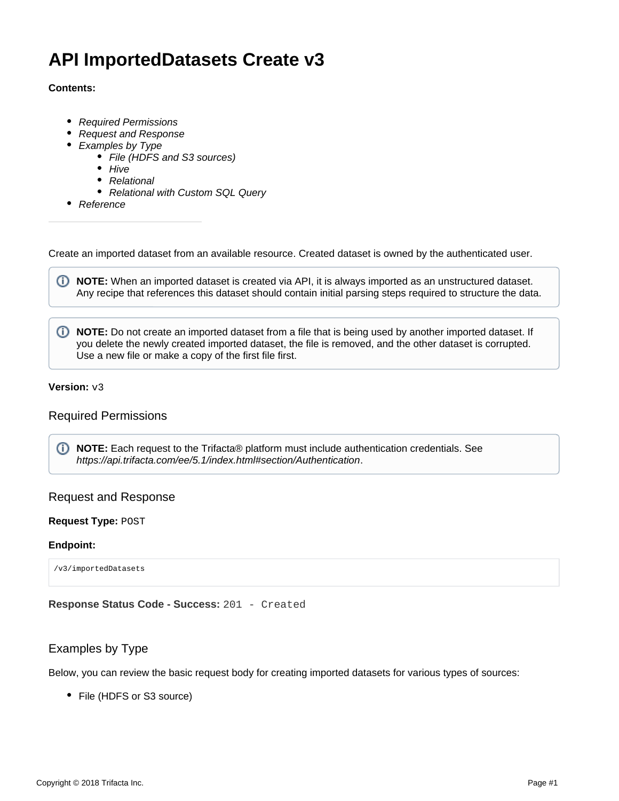# **API ImportedDatasets Create v3**

## **Contents:**

- [Required Permissions](#page-0-0)
- [Request and Response](#page-0-1)
- [Examples by Type](#page-0-2)
	- [File \(HDFS and S3 sources\)](#page-1-0)
	- $\bullet$  [Hive](#page-2-0)
	- [Relational](#page-3-0)
	- [Relational with Custom SQL Query](#page-4-0)
- [Reference](#page-5-0)

Create an imported dataset from an available resource. Created dataset is owned by the authenticated user.

**NOTE:** When an imported dataset is created via API, it is always imported as an unstructured dataset. Any recipe that references this dataset should contain initial parsing steps required to structure the data.

**1** NOTE: Do not create an imported dataset from a file that is being used by another imported dataset. If you delete the newly created imported dataset, the file is removed, and the other dataset is corrupted. Use a new file or make a copy of the first file first.

## **Version:** v3

## <span id="page-0-0"></span>Required Permissions

**NOTE:** Each request to the Trifacta® platform must include authentication credentials. See <https://api.trifacta.com/ee/5.1/index.html#section/Authentication>.

# <span id="page-0-1"></span>Request and Response

#### **Request Type:** POST

#### **Endpoint:**

/v3/importedDatasets

**Response Status Code - Success:** 201 - Created

# <span id="page-0-2"></span>Examples by Type

Below, you can review the basic request body for creating imported datasets for various types of sources:

• File (HDFS or S3 source)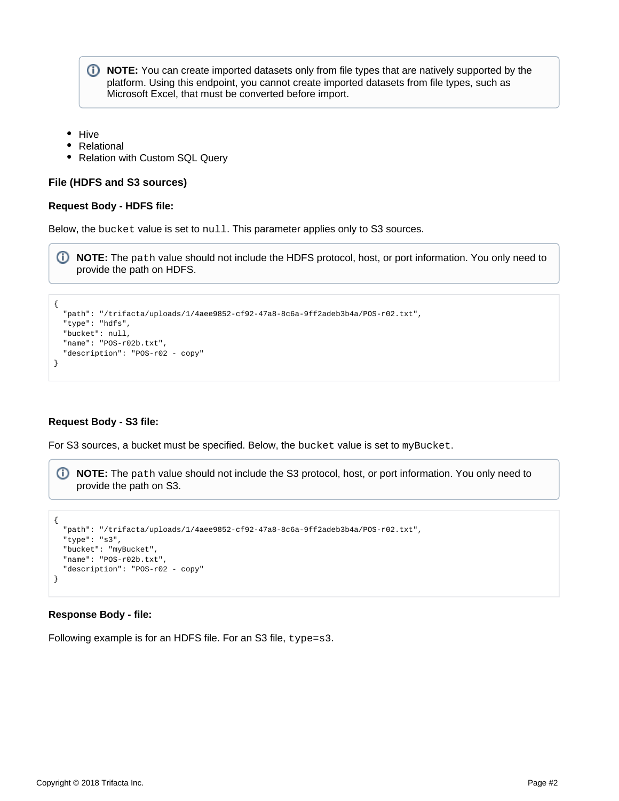**NOTE:** You can create imported datasets only from file types that are natively supported by the platform. Using this endpoint, you cannot create imported datasets from file types, such as Microsoft Excel, that must be converted before import.

- Hive
- Relational
- Relation with Custom SQL Query

#### <span id="page-1-0"></span>**File (HDFS and S3 sources)**

#### **Request Body - HDFS file:**

Below, the bucket value is set to null. This parameter applies only to S3 sources.

**NOTE:** The path value should not include the HDFS protocol, host, or port information. You only need to provide the path on HDFS.

```
{
   "path": "/trifacta/uploads/1/4aee9852-cf92-47a8-8c6a-9ff2adeb3b4a/POS-r02.txt",
   "type": "hdfs",
  "bucket": null,
  "name": "POS-r02b.txt",
   "description": "POS-r02 - copy"
}
```
#### **Request Body - S3 file:**

For S3 sources, a bucket must be specified. Below, the bucket value is set to myBucket.

**NOTE:** The path value should not include the S3 protocol, host, or port information. You only need to provide the path on S3.

```
{
   "path": "/trifacta/uploads/1/4aee9852-cf92-47a8-8c6a-9ff2adeb3b4a/POS-r02.txt",
   "type": "s3",
   "bucket": "myBucket",
   "name": "POS-r02b.txt",
   "description": "POS-r02 - copy"
}
```
#### **Response Body - file:**

Following example is for an HDFS file. For an S3 file, type=s3.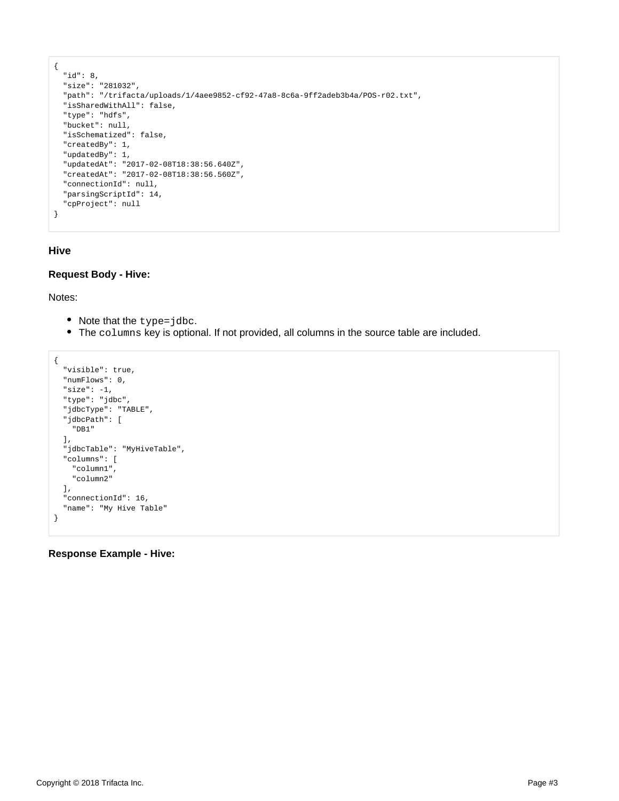```
{
  "id": 8,
  "size": "281032",
   "path": "/trifacta/uploads/1/4aee9852-cf92-47a8-8c6a-9ff2adeb3b4a/POS-r02.txt",
   "isSharedWithAll": false,
  "type": "hdfs",
  "bucket": null,
  "isSchematized": false,
  "createdBy": 1,
  "updatedBy": 1,
  "updatedAt": "2017-02-08T18:38:56.640Z",
  "createdAt": "2017-02-08T18:38:56.560Z",
  "connectionId": null,
  "parsingScriptId": 14,
  "cpProject": null
}
```
## <span id="page-2-0"></span>**Hive**

## **Request Body - Hive:**

Notes:

- Note that the type=jdbc.
- The columns key is optional. If not provided, all columns in the source table are included.

```
{
   "visible": true,
   "numFlows": 0,
   "size": -1,
   "type": "jdbc",
   "jdbcType": "TABLE",
   "jdbcPath": [
     "DB1"
  ],
   "jdbcTable": "MyHiveTable",
   "columns": [
     "column1",
     "column2"
  ],
   "connectionId": 16,
   "name": "My Hive Table"
}
```
**Response Example - Hive:**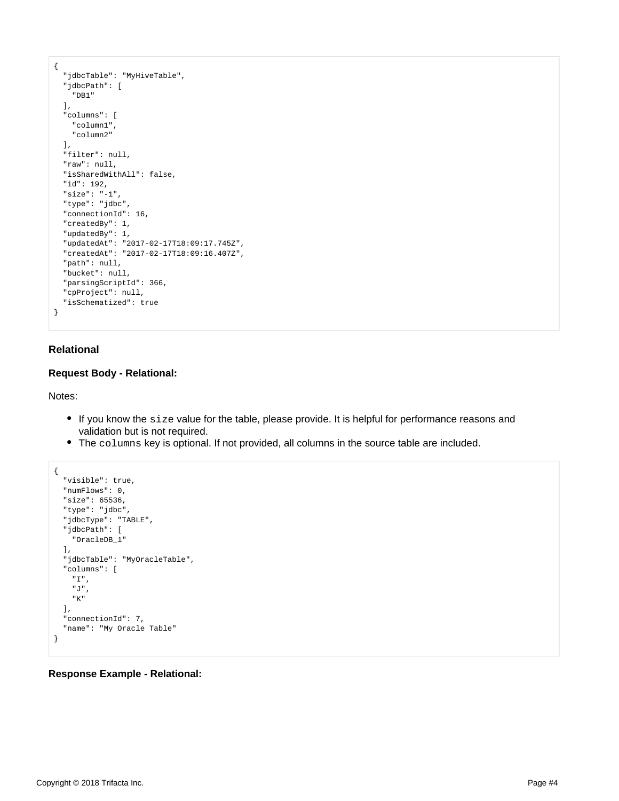```
{
   "jdbcTable": "MyHiveTable",
   "jdbcPath": [
    "DB1"
  ],
   "columns": [
    "column1",
     "column2"
  ],
  "filter": null,
   "raw": null,
  "isSharedWithAll": false,
  "id": 192,
  "size": "-1",
  "type": "jdbc",
   "connectionId": 16,
   "createdBy": 1,
   "updatedBy": 1,
  "updatedAt": "2017-02-17T18:09:17.745Z",
  "createdAt": "2017-02-17T18:09:16.407Z",
  "path": null,
   "bucket": null,
   "parsingScriptId": 366,
   "cpProject": null,
   "isSchematized": true
}
```
## <span id="page-3-0"></span>**Relational**

## **Request Body - Relational:**

Notes:

- If you know the size value for the table, please provide. It is helpful for performance reasons and validation but is not required.
- The columns key is optional. If not provided, all columns in the source table are included.

```
{
   "visible": true,
   "numFlows": 0,
   "size": 65536,
   "type": "jdbc",
   "jdbcType": "TABLE",
   "jdbcPath": [
     "OracleDB_1"
   ],
   "jdbcTable": "MyOracleTable",
   "columns": [
     "I",
     "J",
     "K"
   ],
   "connectionId": 7,
   "name": "My Oracle Table"
}
```
#### **Response Example - Relational:**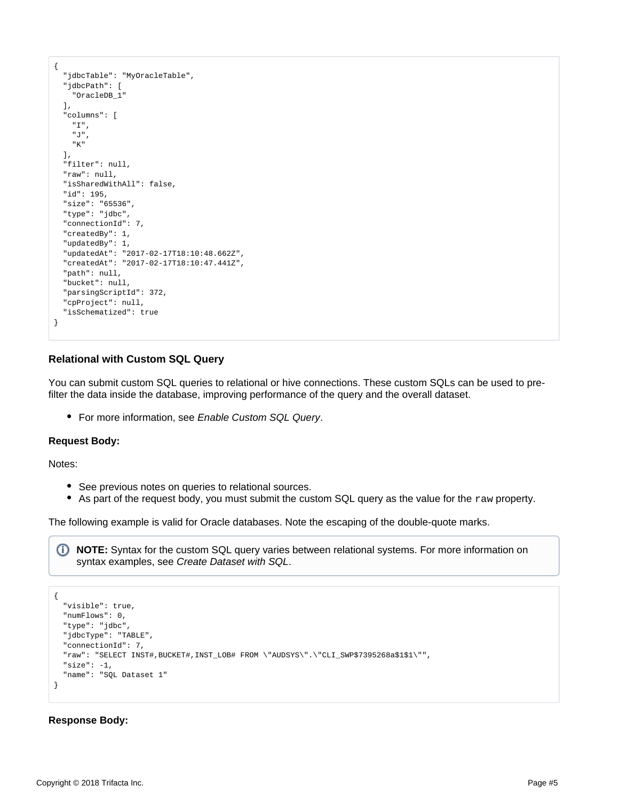```
{
   "jdbcTable": "MyOracleTable",
   "jdbcPath": [
     "OracleDB_1"
   ],
   "columns": [
     "I",
     "J",
     "K"
   ],
   "filter": null,
   "raw": null,
   "isSharedWithAll": false,
   "id": 195,
   "size": "65536",
   "type": "jdbc",
   "connectionId": 7,
   "createdBy": 1,
   "updatedBy": 1,
   "updatedAt": "2017-02-17T18:10:48.662Z",
   "createdAt": "2017-02-17T18:10:47.441Z",
   "path": null,
   "bucket": null,
   "parsingScriptId": 372,
   "cpProject": null,
   "isSchematized": true
}
```
## <span id="page-4-0"></span>**Relational with Custom SQL Query**

You can submit custom SQL queries to relational or hive connections. These custom SQLs can be used to prefilter the data inside the database, improving performance of the query and the overall dataset.

• For more information, see [Enable Custom SQL Query](https://docs.trifacta.com/display/r051/Enable+Custom+SQL+Query).

#### **Request Body:**

Notes:

- See previous notes on queries to relational sources.
- As part of the request body, you must submit the custom SQL query as the value for the  $raw$  property.

The following example is valid for Oracle databases. Note the escaping of the double-quote marks.

**NOTE:** Syntax for the custom SQL query varies between relational systems. For more information on syntax examples, see [Create Dataset with SQL](https://docs.trifacta.com/display/r051/Create+Dataset+with+SQL).

```
{
   "visible": true,
  "numFlows": 0,
  "type": "jdbc",
   "jdbcType": "TABLE",
   "connectionId": 7,
   "raw": "SELECT INST#,BUCKET#,INST_LOB# FROM \"AUDSYS\".\"CLI_SWP$7395268a$1$1\"",
  "size": -1,
  "name": "SQL Dataset 1"
}
```
#### **Response Body:**